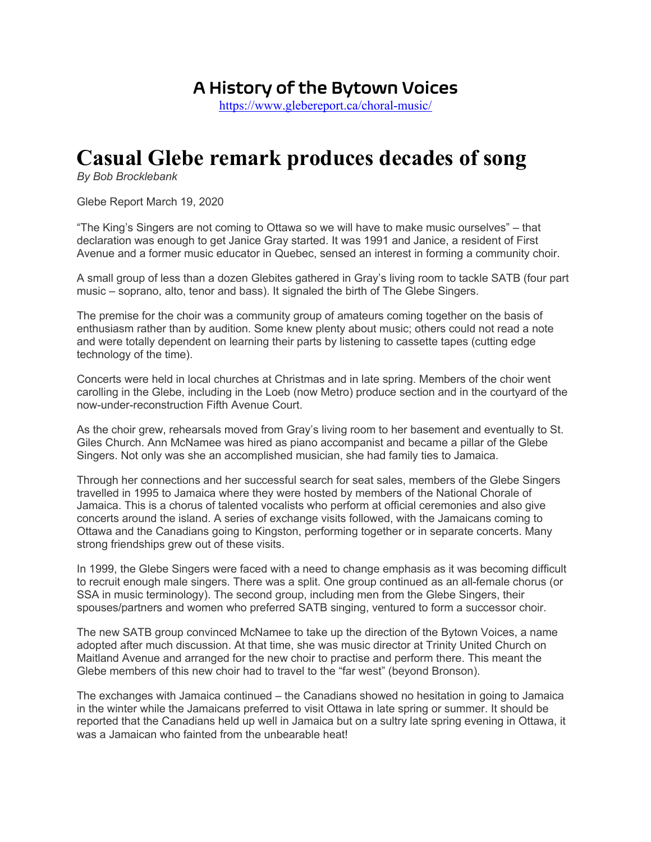## A History of the Bytown Voices

https://www.glebereport.ca/choral-music/

## **Casual Glebe remark produces decades of song**

*By Bob Brocklebank*

Glebe Report March 19, 2020

"The King's Singers are not coming to Ottawa so we will have to make music ourselves" – that declaration was enough to get Janice Gray started. It was 1991 and Janice, a resident of First Avenue and a former music educator in Quebec, sensed an interest in forming a community choir.

A small group of less than a dozen Glebites gathered in Gray's living room to tackle SATB (four part music – soprano, alto, tenor and bass). It signaled the birth of The Glebe Singers.

The premise for the choir was a community group of amateurs coming together on the basis of enthusiasm rather than by audition. Some knew plenty about music; others could not read a note and were totally dependent on learning their parts by listening to cassette tapes (cutting edge technology of the time).

Concerts were held in local churches at Christmas and in late spring. Members of the choir went carolling in the Glebe, including in the Loeb (now Metro) produce section and in the courtyard of the now-under-reconstruction Fifth Avenue Court.

As the choir grew, rehearsals moved from Gray's living room to her basement and eventually to St. Giles Church. Ann McNamee was hired as piano accompanist and became a pillar of the Glebe Singers. Not only was she an accomplished musician, she had family ties to Jamaica.

Through her connections and her successful search for seat sales, members of the Glebe Singers travelled in 1995 to Jamaica where they were hosted by members of the National Chorale of Jamaica. This is a chorus of talented vocalists who perform at official ceremonies and also give concerts around the island. A series of exchange visits followed, with the Jamaicans coming to Ottawa and the Canadians going to Kingston, performing together or in separate concerts. Many strong friendships grew out of these visits.

In 1999, the Glebe Singers were faced with a need to change emphasis as it was becoming difficult to recruit enough male singers. There was a split. One group continued as an all-female chorus (or SSA in music terminology). The second group, including men from the Glebe Singers, their spouses/partners and women who preferred SATB singing, ventured to form a successor choir.

The new SATB group convinced McNamee to take up the direction of the Bytown Voices, a name adopted after much discussion. At that time, she was music director at Trinity United Church on Maitland Avenue and arranged for the new choir to practise and perform there. This meant the Glebe members of this new choir had to travel to the "far west" (beyond Bronson).

The exchanges with Jamaica continued – the Canadians showed no hesitation in going to Jamaica in the winter while the Jamaicans preferred to visit Ottawa in late spring or summer. It should be reported that the Canadians held up well in Jamaica but on a sultry late spring evening in Ottawa, it was a Jamaican who fainted from the unbearable heat!